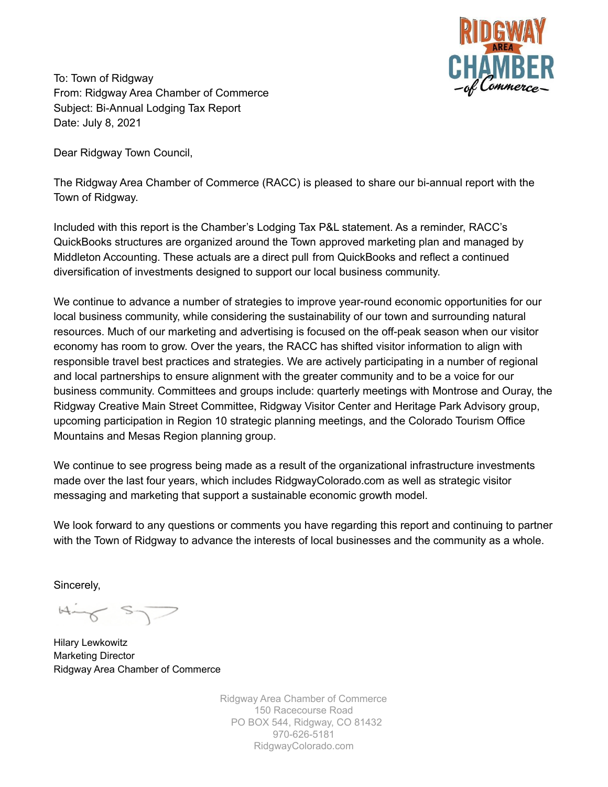

To: Town of Ridgway From: Ridgway Area Chamber of Commerce Subject: Bi-Annual Lodging Tax Report Date: July 8, 2021

Dear Ridgway Town Council,

The Ridgway Area Chamber of Commerce (RACC) is pleased to share our bi-annual report with the Town of Ridgway.

Included with this report is the Chamber's Lodging Tax P&L statement. As a reminder, RACC's QuickBooks structures are organized around the Town approved marketing plan and managed by Middleton Accounting. These actuals are a direct pull from QuickBooks and reflect a continued diversification of investments designed to support our local business community.

We continue to advance a number of strategies to improve year-round economic opportunities for our local business community, while considering the sustainability of our town and surrounding natural resources. Much of our marketing and advertising is focused on the off-peak season when our visitor economy has room to grow. Over the years, the RACC has shifted visitor information to align with responsible travel best practices and strategies. We are actively participating in a number of regional and local partnerships to ensure alignment with the greater community and to be a voice for our business community. Committees and groups include: quarterly meetings with Montrose and Ouray, the Ridgway Creative Main Street Committee, Ridgway Visitor Center and Heritage Park Advisory group, upcoming participation in Region 10 strategic planning meetings, and the Colorado Tourism Office Mountains and Mesas Region planning group.

We continue to see progress being made as a result of the organizational infrastructure investments made over the last four years, which includes RidgwayColorado.com as well as strategic visitor messaging and marketing that support a sustainable economic growth model.

We look forward to any questions or comments you have regarding this report and continuing to partner with the Town of Ridgway to advance the interests of local businesses and the community as a whole.

Sincerely,

Hing ST

Hilary Lewkowitz Marketing Director Ridgway Area Chamber of Commerce

Ridgway Area Chamber of Commerce 150 Racecourse Road PO BOX 544, Ridgway, CO 81432 970-626-5181 RidgwayColorado.com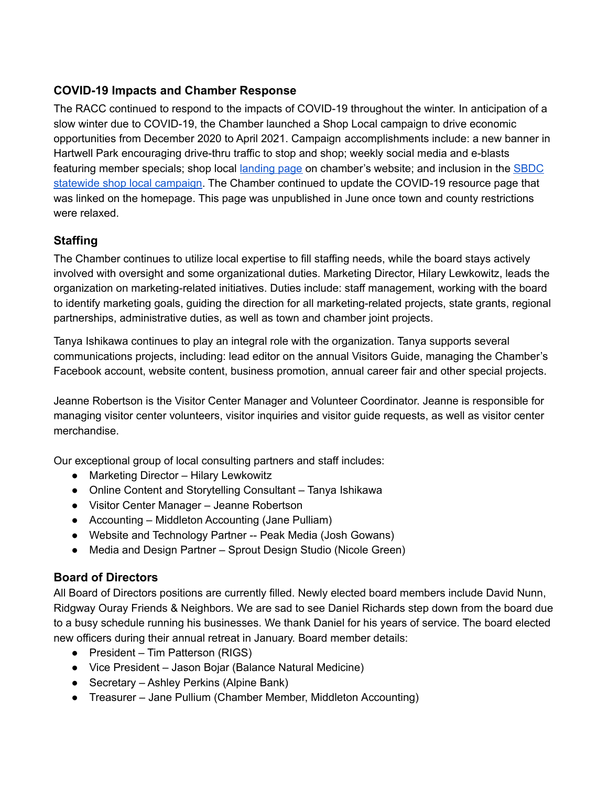# **COVID-19 Impacts and Chamber Response**

The RACC continued to respond to the impacts of COVID-19 throughout the winter. In anticipation of a slow winter due to COVID-19, the Chamber launched a Shop Local campaign to drive economic opportunities from December 2020 to April 2021. Campaign accomplishments include: a new banner in Hartwell Park encouraging drive-thru traffic to stop and shop; weekly social media and e-blasts featuring member specials; shop local [landing](https://ridgwaycolorado.com/news-events/shop-local) page on chamber's website; and inclusion in the [SBDC](https://www.coloradosbdc.org/shop-local/) statewide shop local [campaign.](https://www.coloradosbdc.org/shop-local/) The Chamber continued to update the COVID-19 resource page that was linked on the homepage. This page was unpublished in June once town and county restrictions were relaxed.

# **Staffing**

The Chamber continues to utilize local expertise to fill staffing needs, while the board stays actively involved with oversight and some organizational duties. Marketing Director, Hilary Lewkowitz, leads the organization on marketing-related initiatives. Duties include: staff management, working with the board to identify marketing goals, guiding the direction for all marketing-related projects, state grants, regional partnerships, administrative duties, as well as town and chamber joint projects.

Tanya Ishikawa continues to play an integral role with the organization. Tanya supports several communications projects, including: lead editor on the annual Visitors Guide, managing the Chamber's Facebook account, website content, business promotion, annual career fair and other special projects.

Jeanne Robertson is the Visitor Center Manager and Volunteer Coordinator. Jeanne is responsible for managing visitor center volunteers, visitor inquiries and visitor guide requests, as well as visitor center merchandise.

Our exceptional group of local consulting partners and staff includes:

- Marketing Director Hilary Lewkowitz
- Online Content and Storytelling Consultant Tanya Ishikawa
- Visitor Center Manager Jeanne Robertson
- Accounting Middleton Accounting (Jane Pulliam)
- Website and Technology Partner -- Peak Media (Josh Gowans)
- Media and Design Partner Sprout Design Studio (Nicole Green)

# **Board of Directors**

All Board of Directors positions are currently filled. Newly elected board members include David Nunn, Ridgway Ouray Friends & Neighbors. We are sad to see Daniel Richards step down from the board due to a busy schedule running his businesses. We thank Daniel for his years of service. The board elected new officers during their annual retreat in January. Board member details:

- President Tim Patterson (RIGS)
- Vice President Jason Bojar (Balance Natural Medicine)
- Secretary Ashley Perkins (Alpine Bank)
- Treasurer Jane Pullium (Chamber Member, Middleton Accounting)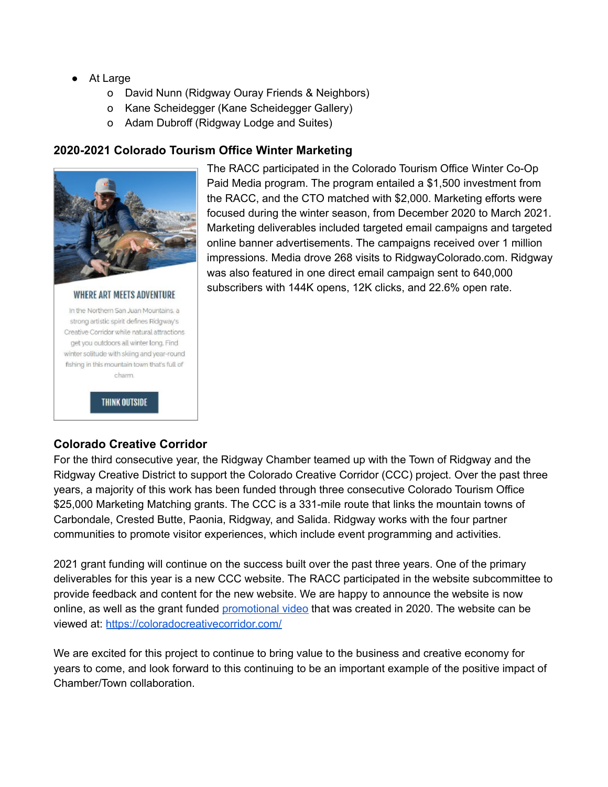- At Large
	- o David Nunn (Ridgway Ouray Friends & Neighbors)
	- o Kane Scheidegger (Kane Scheidegger Gallery)
	- o Adam Dubroff (Ridgway Lodge and Suites)

# **2020-2021 Colorado Tourism Office Winter Marketing**



The RACC participated in the Colorado Tourism Office Winter Co-Op Paid Media program. The program entailed a \$1,500 investment from the RACC, and the CTO matched with \$2,000. Marketing efforts were focused during the winter season, from December 2020 to March 2021. Marketing deliverables included targeted email campaigns and targeted online banner advertisements. The campaigns received over 1 million impressions. Media drove 268 visits to RidgwayColorado.com. Ridgway was also featured in one direct email campaign sent to 640,000 subscribers with 144K opens, 12K clicks, and 22.6% open rate.

#### **WHERE ART MEETS ADVENTURE** In the Northern San Juan Mountains, a



**THINK OUTSIDE** 

#### **Colorado Creative Corridor**

For the third consecutive year, the Ridgway Chamber teamed up with the Town of Ridgway and the Ridgway Creative District to support the Colorado Creative Corridor (CCC) project. Over the past three years, a majority of this work has been funded through three consecutive Colorado Tourism Office \$25,000 Marketing Matching grants. The CCC is a 331-mile route that links the mountain towns of Carbondale, Crested Butte, Paonia, Ridgway, and Salida. Ridgway works with the four partner communities to promote visitor experiences, which include event programming and activities.

2021 grant funding will continue on the success built over the past three years. One of the primary deliverables for this year is a new CCC website. The RACC participated in the website subcommittee to provide feedback and content for the new website. We are happy to announce the website is now online, as well as the grant funded [promotional](https://youtu.be/i19LNoDvcdw) video that was created in 2020. The website can be viewed at: <https://coloradocreativecorridor.com/>

We are excited for this project to continue to bring value to the business and creative economy for years to come, and look forward to this continuing to be an important example of the positive impact of Chamber/Town collaboration.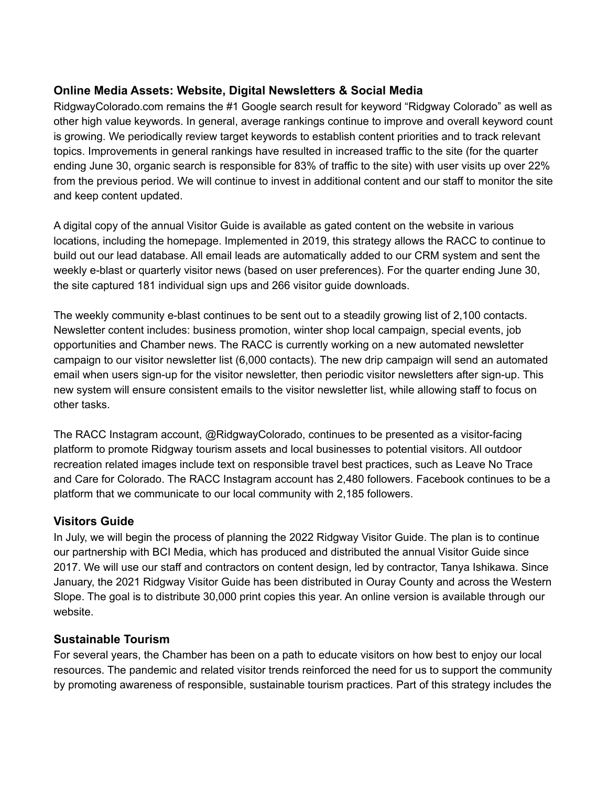# **Online Media Assets: Website, Digital Newsletters & Social Media**

RidgwayColorado.com remains the #1 Google search result for keyword "Ridgway Colorado" as well as other high value keywords. In general, average rankings continue to improve and overall keyword count is growing. We periodically review target keywords to establish content priorities and to track relevant topics. Improvements in general rankings have resulted in increased traffic to the site (for the quarter ending June 30, organic search is responsible for 83% of traffic to the site) with user visits up over 22% from the previous period. We will continue to invest in additional content and our staff to monitor the site and keep content updated.

A digital copy of the annual Visitor Guide is available as gated content on the website in various locations, including the homepage. Implemented in 2019, this strategy allows the RACC to continue to build out our lead database. All email leads are automatically added to our CRM system and sent the weekly e-blast or quarterly visitor news (based on user preferences). For the quarter ending June 30, the site captured 181 individual sign ups and 266 visitor guide downloads.

The weekly community e-blast continues to be sent out to a steadily growing list of 2,100 contacts. Newsletter content includes: business promotion, winter shop local campaign, special events, job opportunities and Chamber news. The RACC is currently working on a new automated newsletter campaign to our visitor newsletter list (6,000 contacts). The new drip campaign will send an automated email when users sign-up for the visitor newsletter, then periodic visitor newsletters after sign-up. This new system will ensure consistent emails to the visitor newsletter list, while allowing staff to focus on other tasks.

The RACC Instagram account, @RidgwayColorado, continues to be presented as a visitor-facing platform to promote Ridgway tourism assets and local businesses to potential visitors. All outdoor recreation related images include text on responsible travel best practices, such as Leave No Trace and Care for Colorado. The RACC Instagram account has 2,480 followers. Facebook continues to be a platform that we communicate to our local community with 2,185 followers.

# **Visitors Guide**

In July, we will begin the process of planning the 2022 Ridgway Visitor Guide. The plan is to continue our partnership with BCI Media, which has produced and distributed the annual Visitor Guide since 2017. We will use our staff and contractors on content design, led by contractor, Tanya Ishikawa. Since January, the 2021 Ridgway Visitor Guide has been distributed in Ouray County and across the Western Slope. The goal is to distribute 30,000 print copies this year. An online version is available through our website.

# **Sustainable Tourism**

For several years, the Chamber has been on a path to educate visitors on how best to enjoy our local resources. The pandemic and related visitor trends reinforced the need for us to support the community by promoting awareness of responsible, sustainable tourism practices. Part of this strategy includes the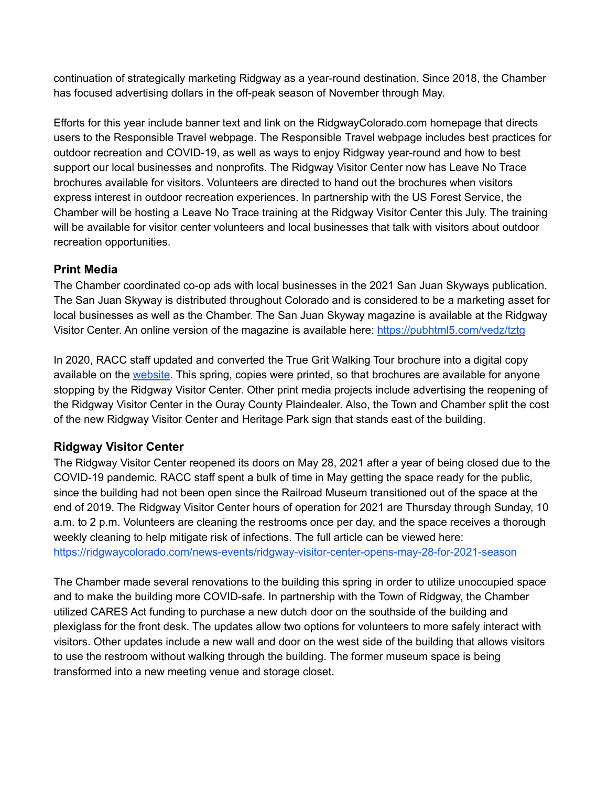continuation of strategically marketing Ridgway as a year-round destination. Since 2018, the Chamber has focused advertising dollars in the off-peak season of November through May.

Efforts for this year include banner text and link on the RidgwayColorado.com homepage that directs users to the Responsible Travel webpage. The Responsible Travel webpage includes best practices for outdoor recreation and COVID-19, as well as ways to enjoy Ridgway year-round and how to best support our local businesses and nonprofits. The Ridgway Visitor Center now has Leave No Trace brochures available for visitors. Volunteers are directed to hand out the brochures when visitors express interest in outdoor recreation experiences. In partnership with the US Forest Service, the Chamber will be hosting a Leave No Trace training at the Ridgway Visitor Center this July. The training will be available for visitor center volunteers and local businesses that talk with visitors about outdoor recreation opportunities.

# **Print Media**

The Chamber coordinated co-op ads with local businesses in the 2021 San Juan Skyways publication. The San Juan Skyway is distributed throughout Colorado and is considered to be a marketing asset for local businesses as well as the Chamber. The San Juan Skyway magazine is available at the Ridgway Visitor Center. An online version of the magazine is available here: <https://pubhtml5.com/vedz/tztg>

In 2020, RACC staff updated and converted the True Grit Walking Tour brochure into a digital copy available on the [website](https://ridgwaycolorado.com/images/itineraries/true-grit_tour-rack-card-WEB.pdf). This spring, copies were printed, so that brochures are available for anyone stopping by the Ridgway Visitor Center. Other print media projects include advertising the reopening of the Ridgway Visitor Center in the Ouray County Plaindealer. Also, the Town and Chamber split the cost of the new Ridgway Visitor Center and Heritage Park sign that stands east of the building.

# **Ridgway Visitor Center**

The Ridgway Visitor Center reopened its doors on May 28, 2021 after a year of being closed due to the COVID-19 pandemic. RACC staff spent a bulk of time in May getting the space ready for the public, since the building had not been open since the Railroad Museum transitioned out of the space at the end of 2019. The Ridgway Visitor Center hours of operation for 2021 are Thursday through Sunday, 10 a.m. to 2 p.m. Volunteers are cleaning the restrooms once per day, and the space receives a thorough weekly cleaning to help mitigate risk of infections. The full article can be viewed here: <https://ridgwaycolorado.com/news-events/ridgway-visitor-center-opens-may-28-for-2021-season>

The Chamber made several renovations to the building this spring in order to utilize unoccupied space and to make the building more COVID-safe. In partnership with the Town of Ridgway, the Chamber utilized CARES Act funding to purchase a new dutch door on the southside of the building and plexiglass for the front desk. The updates allow two options for volunteers to more safely interact with visitors. Other updates include a new wall and door on the west side of the building that allows visitors to use the restroom without walking through the building. The former museum space is being transformed into a new meeting venue and storage closet.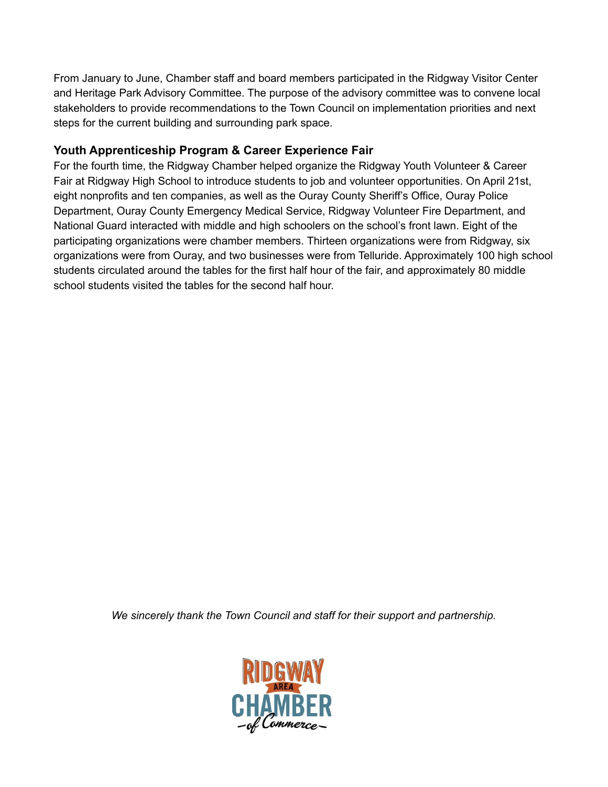From January to June, Chamber staff and board members participated in the Ridgway Visitor Center and Heritage Park Advisory Committee. The purpose of the advisory committee was to convene local stakeholders to provide recommendations to the Town Council on implementation priorities and next steps for the current building and surrounding park space.

# **Youth Apprenticeship Program & Career Experience Fair**

For the fourth time, the Ridgway Chamber helped organize the Ridgway Youth Volunteer & Career Fair at Ridgway High School to introduce students to job and volunteer opportunities. On April 21st, eight nonprofits and ten companies, as well as the Ouray County Sheriff's Office, Ouray Police Department, Ouray County Emergency Medical Service, Ridgway Volunteer Fire Department, and National Guard interacted with middle and high schoolers on the school's front lawn. Eight of the participating organizations were chamber members. Thirteen organizations were from Ridgway, six organizations were from Ouray, and two businesses were from Telluride. Approximately 100 high school students circulated around the tables for the first half hour of the fair, and approximately 80 middle school students visited the tables for the second half hour.

*We sincerely thank the Town Council and staff for their support and partnership.*